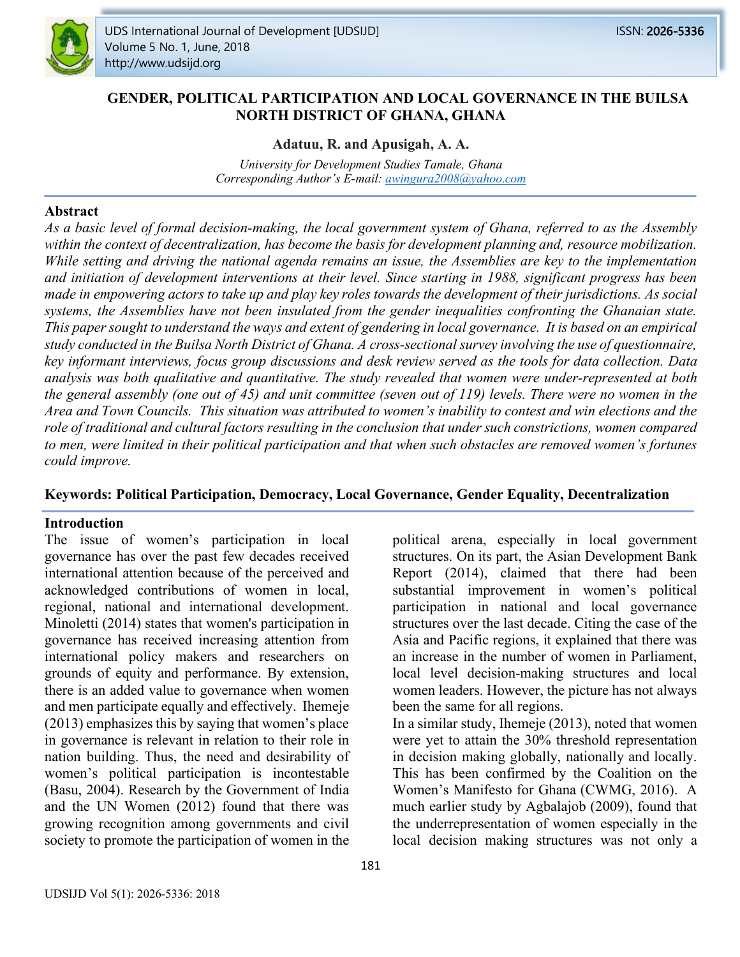

## **GENDER, POLITICAL PARTICIPATION AND LOCAL GOVERNANCE IN THE BUILSA NORTH DISTRICT OF GHANA, GHANA**

#### **Adatuu, R. and Apusigah, A. A.**

*University for Development Studies Tamale, Ghana Corresponding Author's E-mail: awingura2008@yahoo.com*

#### **Abstract**

*As a basic level of formal decision-making, the local government system of Ghana, referred to as the Assembly*  within the context of decentralization, has become the basis for development planning and, resource mobilization. *While setting and driving the national agenda remains an issue, the Assemblies are key to the implementation and initiation of development interventions at their level. Since starting in 1988, significant progress has been made in empowering actors to take up and play key roles towards the development of their jurisdictions. As social systems, the Assemblies have not been insulated from the gender inequalities confronting the Ghanaian state. This paper sought to understand the ways and extent of gendering in local governance. It is based on an empirical study conducted in the Builsa North District of Ghana. A cross-sectional survey involving the use of questionnaire, key informant interviews, focus group discussions and desk review served as the tools for data collection. Data analysis was both qualitative and quantitative. The study revealed that women were under-represented at both the general assembly (one out of 45) and unit committee (seven out of 119) levels. There were no women in the Area and Town Councils. This situation was attributed to women's inability to contest and win elections and the role of traditional and cultural factors resulting in the conclusion that under such constrictions, women compared*  to men, were limited in their political participation and that when such obstacles are removed women's fortunes *could improve.* 

#### **Keywords: Political Participation, Democracy, Local Governance, Gender Equality, Decentralization**

#### **Introduction**

The issue of women's participation in local governance has over the past few decades received international attention because of the perceived and acknowledged contributions of women in local, regional, national and international development. Minoletti (2014) states that women's participation in governance has received increasing attention from international policy makers and researchers on grounds of equity and performance. By extension, there is an added value to governance when women and men participate equally and effectively. Ihemeje  $(2013)$  emphasizes this by saying that women's place in governance is relevant in relation to their role in nation building. Thus, the need and desirability of women's political participation is incontestable (Basu, 2004). Research by the Government of India and the UN Women (2012) found that there was growing recognition among governments and civil society to promote the participation of women in the

Report (2014), claimed that there had been substantial improvement in women's political participation in national and local governance structures over the last decade. Citing the case of the Asia and Pacific regions, it explained that there was an increase in the number of women in Parliament, local level decision-making structures and local women leaders. However, the picture has not always been the same for all regions. In a similar study, Ihemeje (2013), noted that women were yet to attain the 30% threshold representation

political arena, especially in local government structures. On its part, the Asian Development Bank

in decision making globally, nationally and locally. This has been confirmed by the Coalition on the Women's Manifesto for Ghana (CWMG, 2016). A much earlier study by Agbalajob (2009), found that the underrepresentation of women especially in the local decision making structures was not only a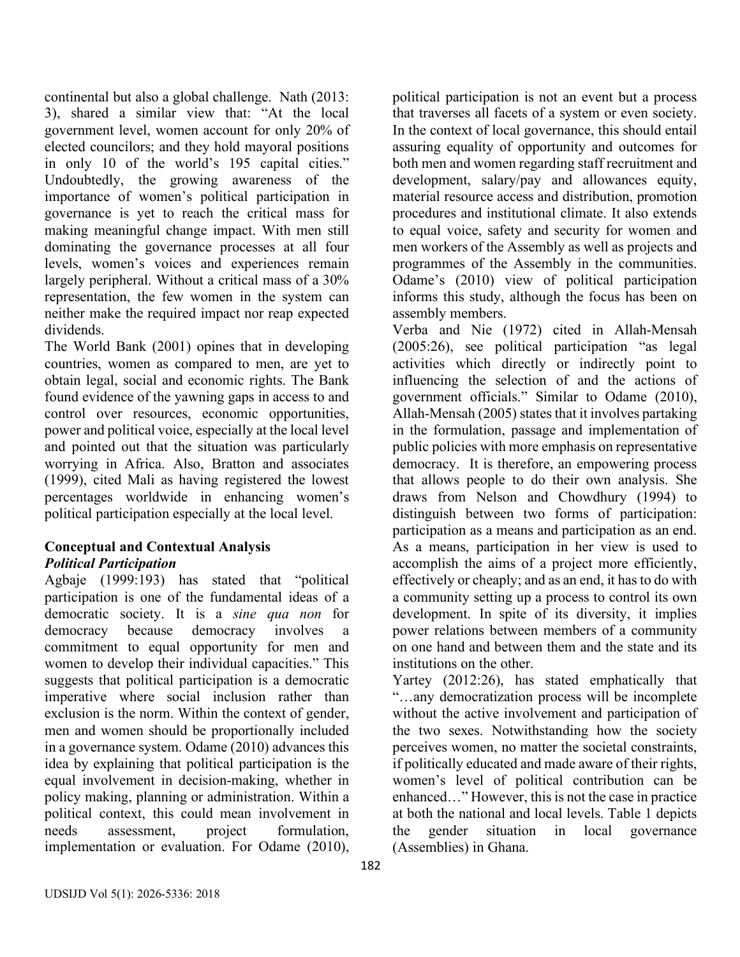continental but also a global challenge. Nath (2013: 3), shared a similar view that: "At the local government level, women account for only 20% of elected councilors; and they hold mayoral positions in only 10 of the world's 195 capital cities." Undoubtedly, the growing awareness of the importance of women's political participation in governance is yet to reach the critical mass for making meaningful change impact. With men still dominating the governance processes at all four levels, women's voices and experiences remain largely peripheral. Without a critical mass of a 30% representation, the few women in the system can neither make the required impact nor reap expected dividends.

The World Bank (2001) opines that in developing countries, women as compared to men, are yet to obtain legal, social and economic rights. The Bank found evidence of the yawning gaps in access to and control over resources, economic opportunities, power and political voice, especially at the local level and pointed out that the situation was particularly worrying in Africa. Also, Bratton and associates (1999), cited Mali as having registered the lowest percentages worldwide in enhancing women's political participation especially at the local level.

## **Conceptual and Contextual Analysis** *Political Participation*

Agbaje (1999:193) has stated that "political participation is one of the fundamental ideas of a democratic society. It is a *sine qua non* for democracy because democracy involves a commitment to equal opportunity for men and women to develop their individual capacities." This suggests that political participation is a democratic imperative where social inclusion rather than exclusion is the norm. Within the context of gender, men and women should be proportionally included in a governance system. Odame (2010) advances this idea by explaining that political participation is the equal involvement in decision-making, whether in policy making, planning or administration. Within a political context, this could mean involvement in needs assessment, project formulation, implementation or evaluation. For Odame (2010), political participation is not an event but a process that traverses all facets of a system or even society. In the context of local governance, this should entail assuring equality of opportunity and outcomes for both men and women regarding staff recruitment and development, salary/pay and allowances equity, material resource access and distribution, promotion procedures and institutional climate. It also extends to equal voice, safety and security for women and men workers of the Assembly as well as projects and programmes of the Assembly in the communities. Odame's (2010) view of political participation informs this study, although the focus has been on assembly members.

Verba and Nie (1972) cited in Allah-Mensah (2005:26), see political participation "as legal activities which directly or indirectly point to influencing the selection of and the actions of government officials." Similar to Odame (2010), Allah-Mensah (2005) states that it involves partaking in the formulation, passage and implementation of public policies with more emphasis on representative democracy. It is therefore, an empowering process that allows people to do their own analysis. She draws from Nelson and Chowdhury (1994) to distinguish between two forms of participation: participation as a means and participation as an end. As a means, participation in her view is used to accomplish the aims of a project more efficiently, effectively or cheaply; and as an end, it has to do with a community setting up a process to control its own development. In spite of its diversity, it implies power relations between members of a community on one hand and between them and the state and its institutions on the other.

Yartey (2012:26), has stated emphatically that "…any democratization process will be incomplete without the active involvement and participation of the two sexes. Notwithstanding how the society perceives women, no matter the societal constraints, if politically educated and made aware of their rights, women's level of political contribution can be enhanced…" However, this is not the case in practice at both the national and local levels. Table 1 depicts the gender situation in local governance (Assemblies) in Ghana.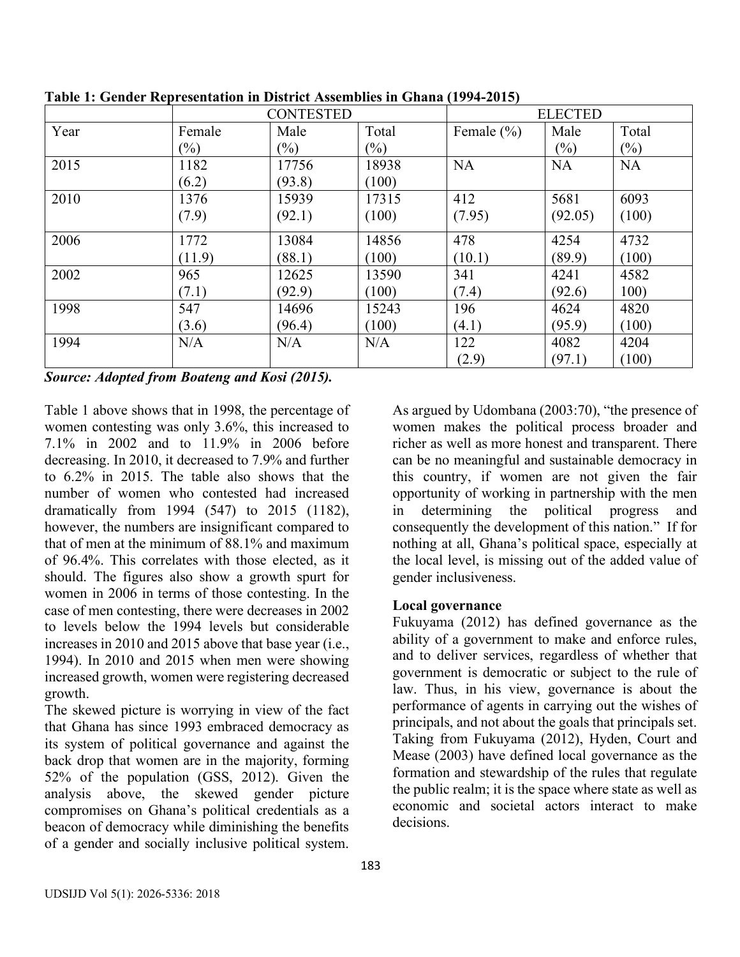|      | <b>CONTESTED</b> |        |        | <b>ELECTED</b> |           |           |
|------|------------------|--------|--------|----------------|-----------|-----------|
| Year | Female           | Male   | Total  | Female $(\% )$ | Male      | Total     |
|      | $(\%)$           | $(\%)$ | $(\%)$ |                | $(\%)$    | $(\%)$    |
| 2015 | 1182             | 17756  | 18938  | <b>NA</b>      | <b>NA</b> | <b>NA</b> |
|      | (6.2)            | (93.8) | (100)  |                |           |           |
| 2010 | 1376             | 15939  | 17315  | 412            | 5681      | 6093      |
|      | (7.9)            | (92.1) | (100)  | (7.95)         | (92.05)   | (100)     |
| 2006 | 1772             | 13084  | 14856  | 478            | 4254      | 4732      |
|      | (11.9)           | (88.1) | (100)  | (10.1)         | (89.9)    | (100)     |
| 2002 | 965              | 12625  | 13590  | 341            | 4241      | 4582      |
|      | (7.1)            | (92.9) | (100)  | (7.4)          | (92.6)    | 100)      |
| 1998 | 547              | 14696  | 15243  | 196            | 4624      | 4820      |
|      | (3.6)            | (96.4) | (100)  | (4.1)          | (95.9)    | (100)     |
| 1994 | N/A              | N/A    | N/A    | 122            | 4082      | 4204      |
|      |                  |        |        | (2.9)          | (97.1)    | (100)     |

**Table 1: Gender Representation in District Assemblies in Ghana (1994-2015)**

*Source: Adopted from Boateng and Kosi (2015).*

Table 1 above shows that in 1998, the percentage of women contesting was only 3.6%, this increased to 7.1% in 2002 and to 11.9% in 2006 before decreasing. In 2010, it decreased to 7.9% and further to 6.2% in 2015. The table also shows that the number of women who contested had increased dramatically from 1994 (547) to 2015 (1182), however, the numbers are insignificant compared to that of men at the minimum of 88.1% and maximum of 96.4%. This correlates with those elected, as it should. The figures also show a growth spurt for women in 2006 in terms of those contesting. In the case of men contesting, there were decreases in 2002 to levels below the 1994 levels but considerable increases in 2010 and 2015 above that base year (i.e., 1994). In 2010 and 2015 when men were showing increased growth, women were registering decreased growth.

The skewed picture is worrying in view of the fact that Ghana has since 1993 embraced democracy as its system of political governance and against the back drop that women are in the majority, forming 52% of the population (GSS, 2012). Given the analysis above, the skewed gender picture compromises on Ghana's political credentials as a beacon of democracy while diminishing the benefits of a gender and socially inclusive political system. As argued by Udombana (2003:70), "the presence of women makes the political process broader and richer as well as more honest and transparent. There can be no meaningful and sustainable democracy in this country, if women are not given the fair opportunity of working in partnership with the men in determining the political progress and consequently the development of this nation." If for nothing at all, Ghana's political space, especially at the local level, is missing out of the added value of gender inclusiveness.

## **Local governance**

Fukuyama (2012) has defined governance as the ability of a government to make and enforce rules, and to deliver services, regardless of whether that government is democratic or subject to the rule of law. Thus, in his view, governance is about the performance of agents in carrying out the wishes of principals, and not about the goals that principals set. Taking from Fukuyama (2012), Hyden, Court and Mease (2003) have defined local governance as the formation and stewardship of the rules that regulate the public realm; it is the space where state as well as economic and societal actors interact to make decisions.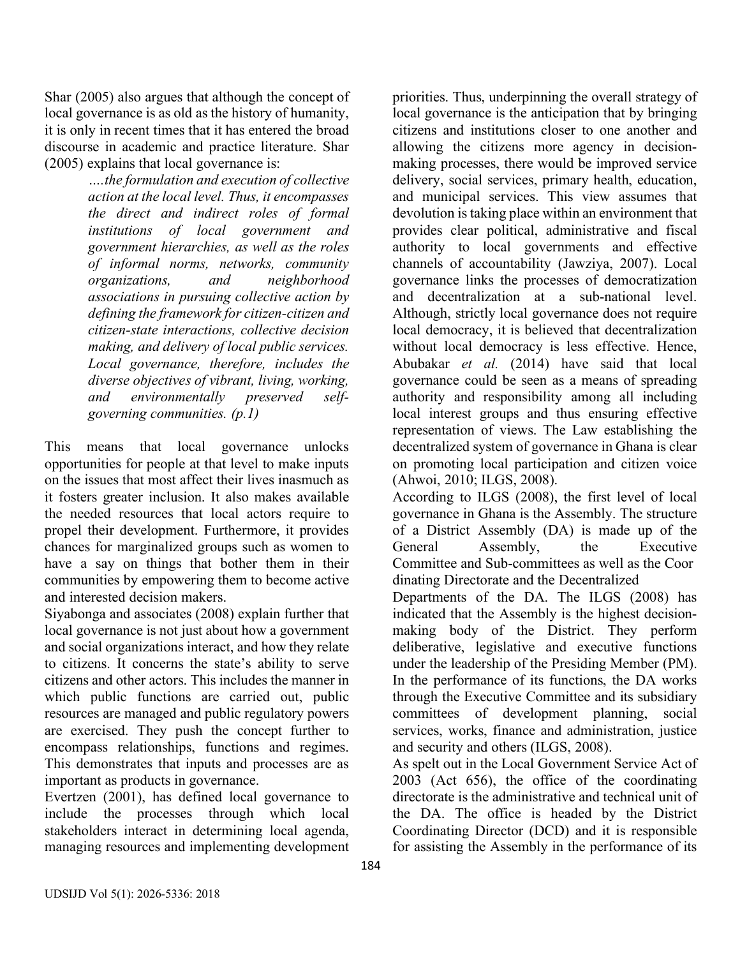Shar (2005) also argues that although the concept of local governance is as old as the history of humanity, it is only in recent times that it has entered the broad discourse in academic and practice literature. Shar (2005) explains that local governance is:

> *….the formulation and execution of collective action at the local level. Thus, it encompasses the direct and indirect roles of formal institutions of local government and government hierarchies, as well as the roles of informal norms, networks, community organizations, and neighborhood associations in pursuing collective action by defining the framework for citizen-citizen and citizen-state interactions, collective decision making, and delivery of local public services. Local governance, therefore, includes the diverse objectives of vibrant, living, working, and environmentally preserved selfgoverning communities. (p.1)*

This means that local governance unlocks opportunities for people at that level to make inputs on the issues that most affect their lives inasmuch as it fosters greater inclusion. It also makes available the needed resources that local actors require to propel their development. Furthermore, it provides chances for marginalized groups such as women to have a say on things that bother them in their communities by empowering them to become active and interested decision makers.

Siyabonga and associates (2008) explain further that local governance is not just about how a government and social organizations interact, and how they relate to citizens. It concerns the state's ability to serve citizens and other actors. This includes the manner in which public functions are carried out, public resources are managed and public regulatory powers are exercised. They push the concept further to encompass relationships, functions and regimes. This demonstrates that inputs and processes are as important as products in governance.

Evertzen (2001), has defined local governance to include the processes through which local stakeholders interact in determining local agenda, managing resources and implementing development priorities. Thus, underpinning the overall strategy of local governance is the anticipation that by bringing citizens and institutions closer to one another and allowing the citizens more agency in decisionmaking processes, there would be improved service delivery, social services, primary health, education, and municipal services. This view assumes that devolution is taking place within an environment that provides clear political, administrative and fiscal authority to local governments and effective channels of accountability (Jawziya, 2007). Local governance links the processes of democratization and decentralization at a sub-national level. Although, strictly local governance does not require local democracy, it is believed that decentralization without local democracy is less effective. Hence, Abubakar *et al.* (2014) have said that local governance could be seen as a means of spreading authority and responsibility among all including local interest groups and thus ensuring effective representation of views. The Law establishing the decentralized system of governance in Ghana is clear on promoting local participation and citizen voice (Ahwoi, 2010; ILGS, 2008).

According to ILGS (2008), the first level of local governance in Ghana is the Assembly. The structure of a District Assembly (DA) is made up of the General Assembly, the Executive Committee and Sub-committees as well as the Coor dinating Directorate and the Decentralized

Departments of the DA. The ILGS (2008) has indicated that the Assembly is the highest decisionmaking body of the District. They perform deliberative, legislative and executive functions under the leadership of the Presiding Member (PM). In the performance of its functions, the DA works through the Executive Committee and its subsidiary committees of development planning, social services, works, finance and administration, justice and security and others (ILGS, 2008).

As spelt out in the Local Government Service Act of 2003 (Act 656), the office of the coordinating directorate is the administrative and technical unit of the DA. The office is headed by the District Coordinating Director (DCD) and it is responsible for assisting the Assembly in the performance of its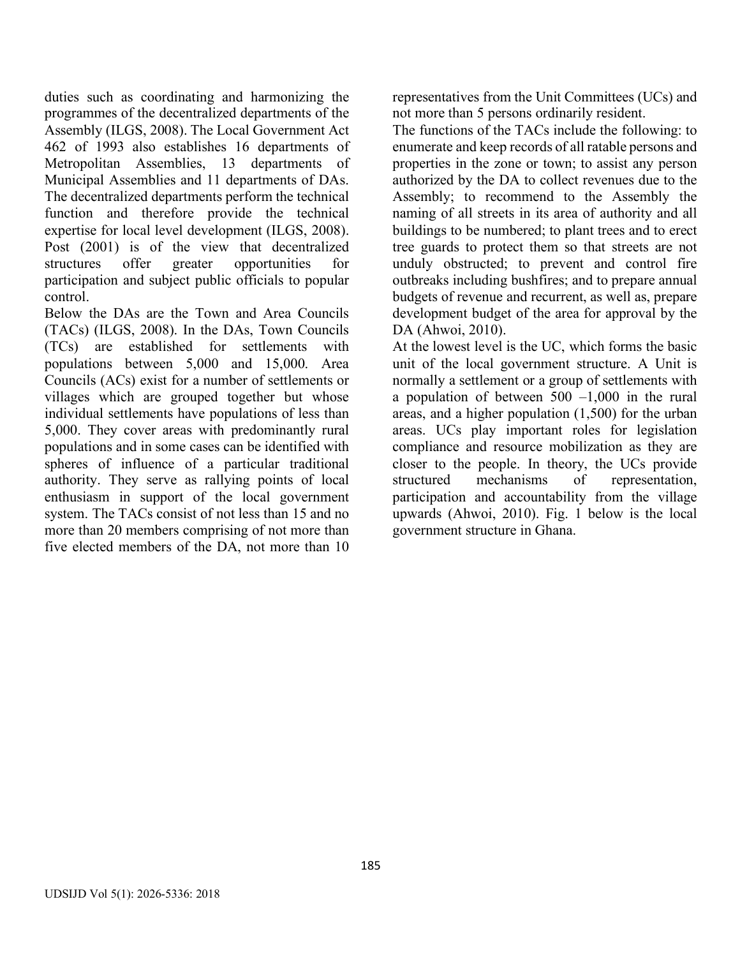duties such as coordinating and harmonizing the programmes of the decentralized departments of the Assembly (ILGS, 2008). The Local Government Act 462 of 1993 also establishes 16 departments of Metropolitan Assemblies, 13 departments of Municipal Assemblies and 11 departments of DAs. The decentralized departments perform the technical function and therefore provide the technical expertise for local level development (ILGS, 2008). Post (2001) is of the view that decentralized structures offer greater opportunities for participation and subject public officials to popular control.

Below the DAs are the Town and Area Councils (TACs) (ILGS, 2008). In the DAs, Town Councils (TCs) are established for settlements with populations between 5,000 and 15,000. Area Councils (ACs) exist for a number of settlements or villages which are grouped together but whose individual settlements have populations of less than 5,000. They cover areas with predominantly rural populations and in some cases can be identified with spheres of influence of a particular traditional authority. They serve as rallying points of local enthusiasm in support of the local government system. The TACs consist of not less than 15 and no more than 20 members comprising of not more than five elected members of the DA, not more than 10 representatives from the Unit Committees (UCs) and not more than 5 persons ordinarily resident.

The functions of the TACs include the following: to enumerate and keep records of all ratable persons and properties in the zone or town; to assist any person authorized by the DA to collect revenues due to the Assembly; to recommend to the Assembly the naming of all streets in its area of authority and all buildings to be numbered; to plant trees and to erect tree guards to protect them so that streets are not unduly obstructed; to prevent and control fire outbreaks including bushfires; and to prepare annual budgets of revenue and recurrent, as well as, prepare development budget of the area for approval by the DA (Ahwoi, 2010).

At the lowest level is the UC, which forms the basic unit of the local government structure. A Unit is normally a settlement or a group of settlements with a population of between  $500 -1,000$  in the rural areas, and a higher population (1,500) for the urban areas. UCs play important roles for legislation compliance and resource mobilization as they are closer to the people. In theory, the UCs provide structured mechanisms of representation, participation and accountability from the village upwards (Ahwoi, 2010). Fig. 1 below is the local government structure in Ghana.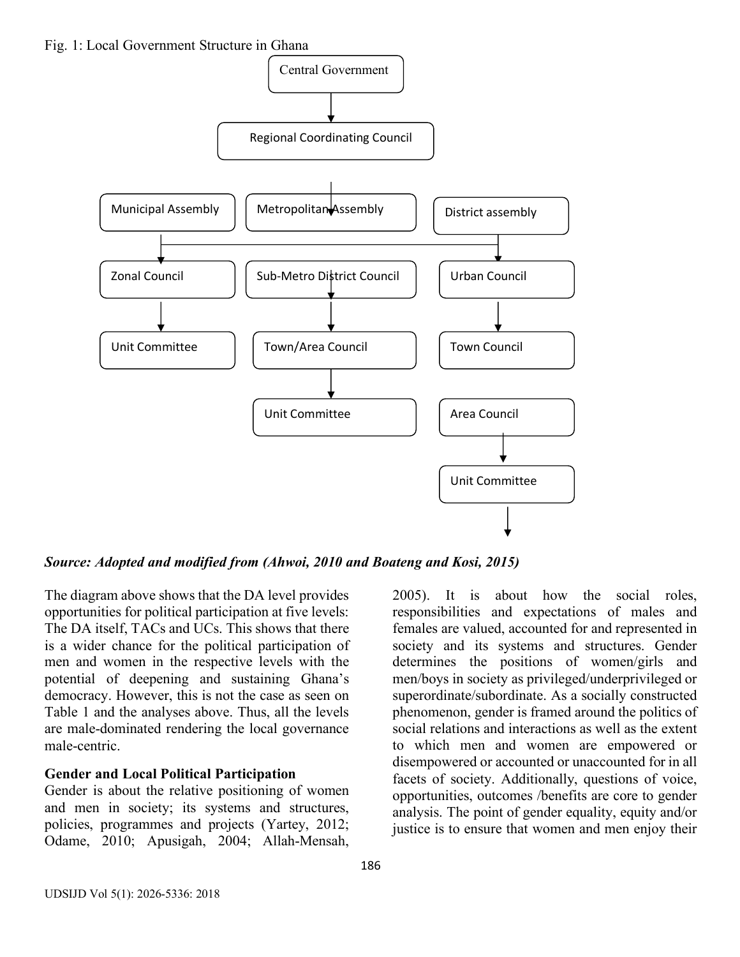

*Source: Adopted and modified from (Ahwoi, 2010 and Boateng and Kosi, 2015)*

The diagram above shows that the DA level provides opportunities for political participation at five levels: The DA itself, TACs and UCs. This shows that there is a wider chance for the political participation of men and women in the respective levels with the potential of deepening and sustaining Ghana's democracy. However, this is not the case as seen on Table 1 and the analyses above. Thus, all the levels are male-dominated rendering the local governance male-centric.

## **Gender and Local Political Participation**

Gender is about the relative positioning of women and men in society; its systems and structures, policies, programmes and projects (Yartey, 2012; Odame, 2010; Apusigah, 2004; Allah-Mensah,

2005). It is about how the social roles, responsibilities and expectations of males and females are valued, accounted for and represented in society and its systems and structures. Gender determines the positions of women/girls and men/boys in society as privileged/underprivileged or superordinate/subordinate. As a socially constructed phenomenon, gender is framed around the politics of social relations and interactions as well as the extent to which men and women are empowered or disempowered or accounted or unaccounted for in all facets of society. Additionally, questions of voice, opportunities, outcomes /benefits are core to gender analysis. The point of gender equality, equity and/or justice is to ensure that women and men enjoy their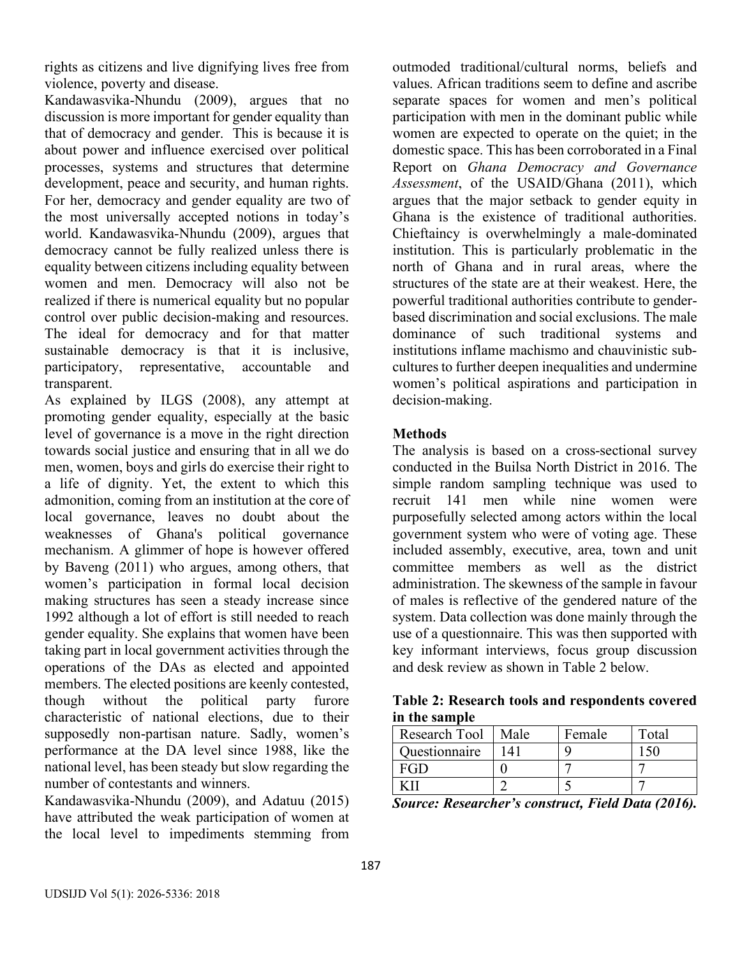rights as citizens and live dignifying lives free from violence, poverty and disease.

Kandawasvika-Nhundu (2009), argues that no discussion is more important for gender equality than that of democracy and gender. This is because it is about power and influence exercised over political processes, systems and structures that determine development, peace and security, and human rights. For her, democracy and gender equality are two of the most universally accepted notions in today's world. Kandawasvika-Nhundu (2009), argues that democracy cannot be fully realized unless there is equality between citizens including equality between women and men. Democracy will also not be realized if there is numerical equality but no popular control over public decision-making and resources. The ideal for democracy and for that matter sustainable democracy is that it is inclusive, participatory, representative, accountable and transparent.

As explained by ILGS (2008), any attempt at promoting gender equality, especially at the basic level of governance is a move in the right direction towards social justice and ensuring that in all we do men, women, boys and girls do exercise their right to a life of dignity. Yet, the extent to which this admonition, coming from an institution at the core of local governance, leaves no doubt about the weaknesses of Ghana's political governance mechanism. A glimmer of hope is however offered by Baveng (2011) who argues, among others, that women's participation in formal local decision making structures has seen a steady increase since 1992 although a lot of effort is still needed to reach gender equality. She explains that women have been taking part in local government activities through the operations of the DAs as elected and appointed members. The elected positions are keenly contested, though without the political party furore characteristic of national elections, due to their supposedly non-partisan nature. Sadly, women's performance at the DA level since 1988, like the national level, has been steady but slow regarding the number of contestants and winners.

Kandawasvika-Nhundu (2009), and Adatuu (2015) have attributed the weak participation of women at the local level to impediments stemming from outmoded traditional/cultural norms, beliefs and values. African traditions seem to define and ascribe separate spaces for women and men's political participation with men in the dominant public while women are expected to operate on the quiet; in the domestic space. This has been corroborated in a Final Report on *Ghana Democracy and Governance Assessment*, of the USAID/Ghana (2011), which argues that the major setback to gender equity in Ghana is the existence of traditional authorities. Chieftaincy is overwhelmingly a male-dominated institution. This is particularly problematic in the north of Ghana and in rural areas, where the structures of the state are at their weakest. Here, the powerful traditional authorities contribute to genderbased discrimination and social exclusions. The male dominance of such traditional systems and institutions inflame machismo and chauvinistic subcultures to further deepen inequalities and undermine women's political aspirations and participation in decision-making.

## **Methods**

The analysis is based on a cross-sectional survey conducted in the Builsa North District in 2016. The simple random sampling technique was used to recruit 141 men while nine women were purposefully selected among actors within the local government system who were of voting age. These included assembly, executive, area, town and unit committee members as well as the district administration. The skewness of the sample in favour of males is reflective of the gendered nature of the system. Data collection was done mainly through the use of a questionnaire. This was then supported with key informant interviews, focus group discussion and desk review as shown in Table 2 below.

**Table 2: Research tools and respondents covered in the sample**

| Research Tool   | Male      | Female | Total |
|-----------------|-----------|--------|-------|
| Questionnaire   | $\Lambda$ |        |       |
| $\triangle G$ D |           |        |       |
|                 |           |        |       |

*Source: Researcher's construct, Field Data (2016).*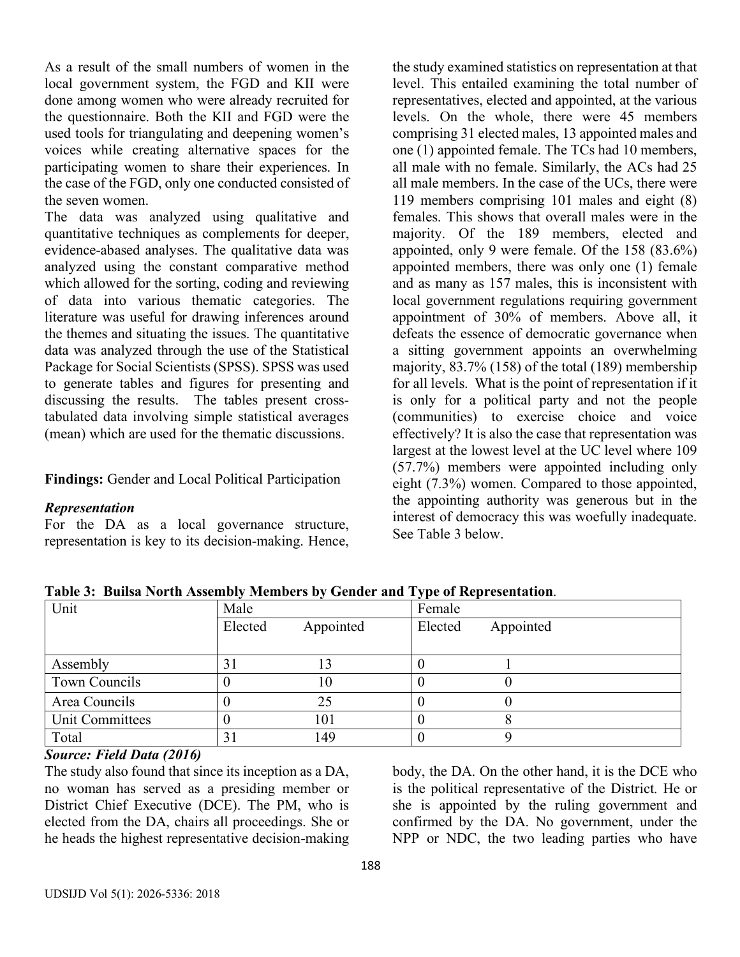As a result of the small numbers of women in the local government system, the FGD and KII were done among women who were already recruited for the questionnaire. Both the KII and FGD were the used tools for triangulating and deepening women's voices while creating alternative spaces for the participating women to share their experiences. In the case of the FGD, only one conducted consisted of the seven women.

The data was analyzed using qualitative and quantitative techniques as complements for deeper, evidence-abased analyses. The qualitative data was analyzed using the constant comparative method which allowed for the sorting, coding and reviewing of data into various thematic categories. The literature was useful for drawing inferences around the themes and situating the issues. The quantitative data was analyzed through the use of the Statistical Package for Social Scientists (SPSS). SPSS was used to generate tables and figures for presenting and discussing the results. The tables present crosstabulated data involving simple statistical averages (mean) which are used for the thematic discussions.

**Findings:** Gender and Local Political Participation

#### *Representation*

For the DA as a local governance structure, representation is key to its decision-making. Hence, the study examined statistics on representation at that level. This entailed examining the total number of representatives, elected and appointed, at the various levels. On the whole, there were 45 members comprising 31 elected males, 13 appointed males and one (1) appointed female. The TCs had 10 members, all male with no female. Similarly, the ACs had 25 all male members. In the case of the UCs, there were 119 members comprising 101 males and eight (8) females. This shows that overall males were in the majority. Of the 189 members, elected and appointed, only 9 were female. Of the 158 (83.6%) appointed members, there was only one (1) female and as many as 157 males, this is inconsistent with local government regulations requiring government appointment of 30% of members. Above all, it defeats the essence of democratic governance when a sitting government appoints an overwhelming majority, 83.7% (158) of the total (189) membership for all levels. What is the point of representation if it is only for a political party and not the people (communities) to exercise choice and voice effectively? It is also the case that representation was largest at the lowest level at the UC level where 109 (57.7%) members were appointed including only eight (7.3%) women. Compared to those appointed, the appointing authority was generous but in the interest of democracy this was woefully inadequate. See Table 3 below.

| Unit            | Male    |           | Female  |           |  |
|-----------------|---------|-----------|---------|-----------|--|
|                 | Elected | Appointed | Elected | Appointed |  |
|                 |         |           |         |           |  |
| Assembly        |         |           |         |           |  |
| Town Councils   |         | 10        |         |           |  |
| Area Councils   |         | 25        |         |           |  |
| Unit Committees |         | 101       |         |           |  |
| Total           |         | 149       |         |           |  |

**Table 3: Builsa North Assembly Members by Gender and Type of Representation**.

## *Source: Field Data (2016)*

The study also found that since its inception as a DA, no woman has served as a presiding member or District Chief Executive (DCE). The PM, who is elected from the DA, chairs all proceedings. She or he heads the highest representative decision-making body, the DA. On the other hand, it is the DCE who is the political representative of the District. He or she is appointed by the ruling government and confirmed by the DA. No government, under the NPP or NDC, the two leading parties who have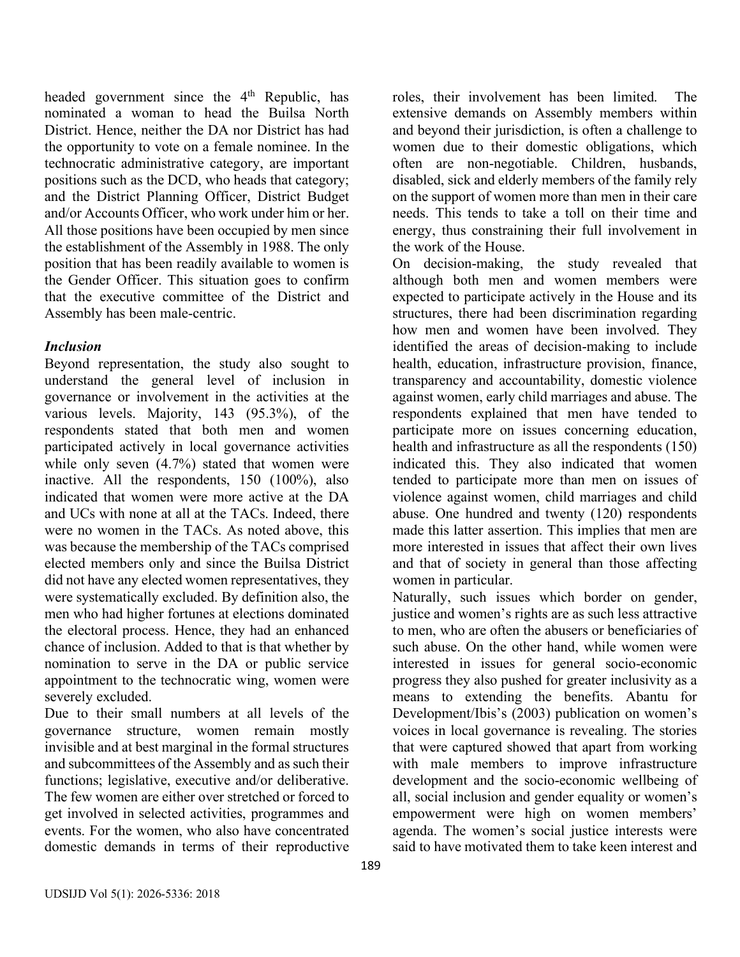headed government since the 4<sup>th</sup> Republic, has nominated a woman to head the Builsa North District. Hence, neither the DA nor District has had the opportunity to vote on a female nominee. In the technocratic administrative category, are important positions such as the DCD, who heads that category; and the District Planning Officer, District Budget and/or Accounts Officer, who work under him or her. All those positions have been occupied by men since the establishment of the Assembly in 1988. The only position that has been readily available to women is the Gender Officer. This situation goes to confirm that the executive committee of the District and Assembly has been male-centric.

## *Inclusion*

Beyond representation, the study also sought to understand the general level of inclusion in governance or involvement in the activities at the various levels. Majority, 143 (95.3%), of the respondents stated that both men and women participated actively in local governance activities while only seven  $(4.7%)$  stated that women were inactive. All the respondents, 150 (100%), also indicated that women were more active at the DA and UCs with none at all at the TACs. Indeed, there were no women in the TACs. As noted above, this was because the membership of the TACs comprised elected members only and since the Builsa District did not have any elected women representatives, they were systematically excluded. By definition also, the men who had higher fortunes at elections dominated the electoral process. Hence, they had an enhanced chance of inclusion. Added to that is that whether by nomination to serve in the DA or public service appointment to the technocratic wing, women were severely excluded.

Due to their small numbers at all levels of the governance structure, women remain mostly invisible and at best marginal in the formal structures and subcommittees of the Assembly and as such their functions; legislative, executive and/or deliberative. The few women are either over stretched or forced to get involved in selected activities, programmes and events. For the women, who also have concentrated domestic demands in terms of their reproductive

roles, their involvement has been limited. The extensive demands on Assembly members within and beyond their jurisdiction, is often a challenge to women due to their domestic obligations, which often are non-negotiable. Children, husbands, disabled, sick and elderly members of the family rely on the support of women more than men in their care needs. This tends to take a toll on their time and energy, thus constraining their full involvement in the work of the House.

On decision-making, the study revealed that although both men and women members were expected to participate actively in the House and its structures, there had been discrimination regarding how men and women have been involved. They identified the areas of decision-making to include health, education, infrastructure provision, finance, transparency and accountability, domestic violence against women, early child marriages and abuse. The respondents explained that men have tended to participate more on issues concerning education, health and infrastructure as all the respondents (150) indicated this. They also indicated that women tended to participate more than men on issues of violence against women, child marriages and child abuse. One hundred and twenty (120) respondents made this latter assertion. This implies that men are more interested in issues that affect their own lives and that of society in general than those affecting women in particular.

Naturally, such issues which border on gender, justice and women's rights are as such less attractive to men, who are often the abusers or beneficiaries of such abuse. On the other hand, while women were interested in issues for general socio-economic progress they also pushed for greater inclusivity as a means to extending the benefits. Abantu for Development/Ibis's (2003) publication on women's voices in local governance is revealing. The stories that were captured showed that apart from working with male members to improve infrastructure development and the socio-economic wellbeing of all, social inclusion and gender equality or women's empowerment were high on women members' agenda. The women's social justice interests were said to have motivated them to take keen interest and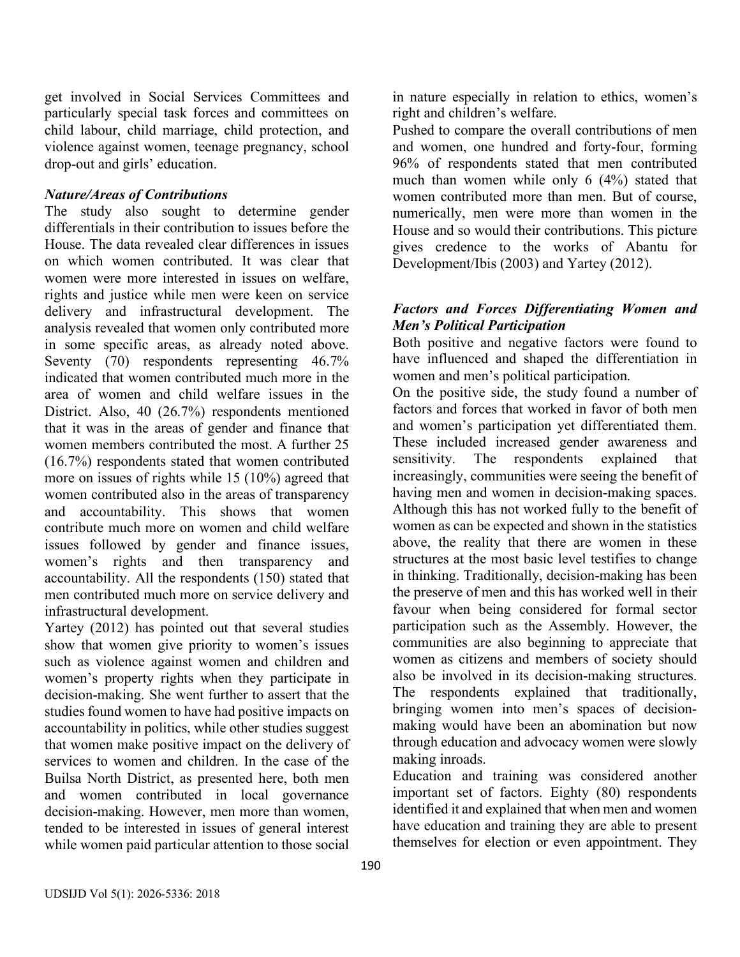get involved in Social Services Committees and particularly special task forces and committees on child labour, child marriage, child protection, and violence against women, teenage pregnancy, school drop-out and girls' education.

## *Nature/Areas of Contributions*

The study also sought to determine gender differentials in their contribution to issues before the House. The data revealed clear differences in issues on which women contributed. It was clear that women were more interested in issues on welfare, rights and justice while men were keen on service delivery and infrastructural development. The analysis revealed that women only contributed more in some specific areas, as already noted above. Seventy (70) respondents representing 46.7% indicated that women contributed much more in the area of women and child welfare issues in the District. Also, 40 (26.7%) respondents mentioned that it was in the areas of gender and finance that women members contributed the most. A further 25 (16.7%) respondents stated that women contributed more on issues of rights while 15 (10%) agreed that women contributed also in the areas of transparency and accountability. This shows that women contribute much more on women and child welfare issues followed by gender and finance issues, women's rights and then transparency and accountability. All the respondents (150) stated that men contributed much more on service delivery and infrastructural development.

Yartey (2012) has pointed out that several studies show that women give priority to women's issues such as violence against women and children and women's property rights when they participate in decision-making. She went further to assert that the studies found women to have had positive impacts on accountability in politics, while other studies suggest that women make positive impact on the delivery of services to women and children. In the case of the Builsa North District, as presented here, both men and women contributed in local governance decision-making. However, men more than women, tended to be interested in issues of general interest while women paid particular attention to those social

in nature especially in relation to ethics, women's right and children's welfare.

Pushed to compare the overall contributions of men and women, one hundred and forty-four, forming 96% of respondents stated that men contributed much than women while only 6 (4%) stated that women contributed more than men. But of course, numerically, men were more than women in the House and so would their contributions. This picture gives credence to the works of Abantu for Development/Ibis (2003) and Yartey (2012).

## *Factors and Forces Differentiating Women and Men's Political Participation*

Both positive and negative factors were found to have influenced and shaped the differentiation in women and men's political participation.

On the positive side, the study found a number of factors and forces that worked in favor of both men and women's participation yet differentiated them. These included increased gender awareness and sensitivity. The respondents explained that increasingly, communities were seeing the benefit of having men and women in decision-making spaces. Although this has not worked fully to the benefit of women as can be expected and shown in the statistics above, the reality that there are women in these structures at the most basic level testifies to change in thinking. Traditionally, decision-making has been the preserve of men and this has worked well in their favour when being considered for formal sector participation such as the Assembly. However, the communities are also beginning to appreciate that women as citizens and members of society should also be involved in its decision-making structures. The respondents explained that traditionally, bringing women into men's spaces of decisionmaking would have been an abomination but now through education and advocacy women were slowly making inroads.

Education and training was considered another important set of factors. Eighty (80) respondents identified it and explained that when men and women have education and training they are able to present themselves for election or even appointment. They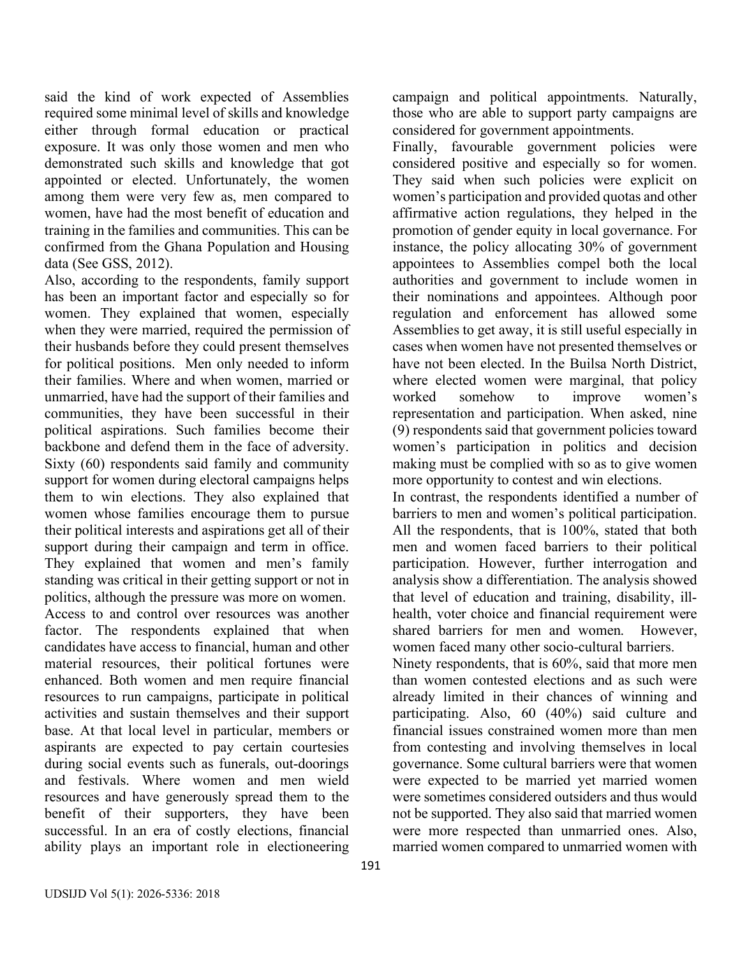said the kind of work expected of Assemblies required some minimal level of skills and knowledge either through formal education or practical exposure. It was only those women and men who demonstrated such skills and knowledge that got appointed or elected. Unfortunately, the women among them were very few as, men compared to women, have had the most benefit of education and training in the families and communities. This can be confirmed from the Ghana Population and Housing data (See GSS, 2012).

Also, according to the respondents, family support has been an important factor and especially so for women. They explained that women, especially when they were married, required the permission of their husbands before they could present themselves for political positions. Men only needed to inform their families. Where and when women, married or unmarried, have had the support of their families and communities, they have been successful in their political aspirations. Such families become their backbone and defend them in the face of adversity. Sixty (60) respondents said family and community support for women during electoral campaigns helps them to win elections. They also explained that women whose families encourage them to pursue their political interests and aspirations get all of their support during their campaign and term in office. They explained that women and men's family standing was critical in their getting support or not in politics, although the pressure was more on women. Access to and control over resources was another factor. The respondents explained that when candidates have access to financial, human and other material resources, their political fortunes were enhanced. Both women and men require financial resources to run campaigns, participate in political activities and sustain themselves and their support base. At that local level in particular, members or aspirants are expected to pay certain courtesies during social events such as funerals, out-doorings and festivals. Where women and men wield resources and have generously spread them to the benefit of their supporters, they have been successful. In an era of costly elections, financial ability plays an important role in electioneering

campaign and political appointments. Naturally, those who are able to support party campaigns are considered for government appointments.

Finally, favourable government policies were considered positive and especially so for women. They said when such policies were explicit on women's participation and provided quotas and other affirmative action regulations, they helped in the promotion of gender equity in local governance. For instance, the policy allocating 30% of government appointees to Assemblies compel both the local authorities and government to include women in their nominations and appointees. Although poor regulation and enforcement has allowed some Assemblies to get away, it is still useful especially in cases when women have not presented themselves or have not been elected. In the Builsa North District, where elected women were marginal, that policy worked somehow to improve women's representation and participation. When asked, nine (9) respondents said that government policies toward women's participation in politics and decision making must be complied with so as to give women more opportunity to contest and win elections.

In contrast, the respondents identified a number of barriers to men and women's political participation. All the respondents, that is 100%, stated that both men and women faced barriers to their political participation. However, further interrogation and analysis show a differentiation. The analysis showed that level of education and training, disability, illhealth, voter choice and financial requirement were shared barriers for men and women. However, women faced many other socio-cultural barriers.

Ninety respondents, that is 60%, said that more men than women contested elections and as such were already limited in their chances of winning and participating. Also, 60 (40%) said culture and financial issues constrained women more than men from contesting and involving themselves in local governance. Some cultural barriers were that women were expected to be married yet married women were sometimes considered outsiders and thus would not be supported. They also said that married women were more respected than unmarried ones. Also, married women compared to unmarried women with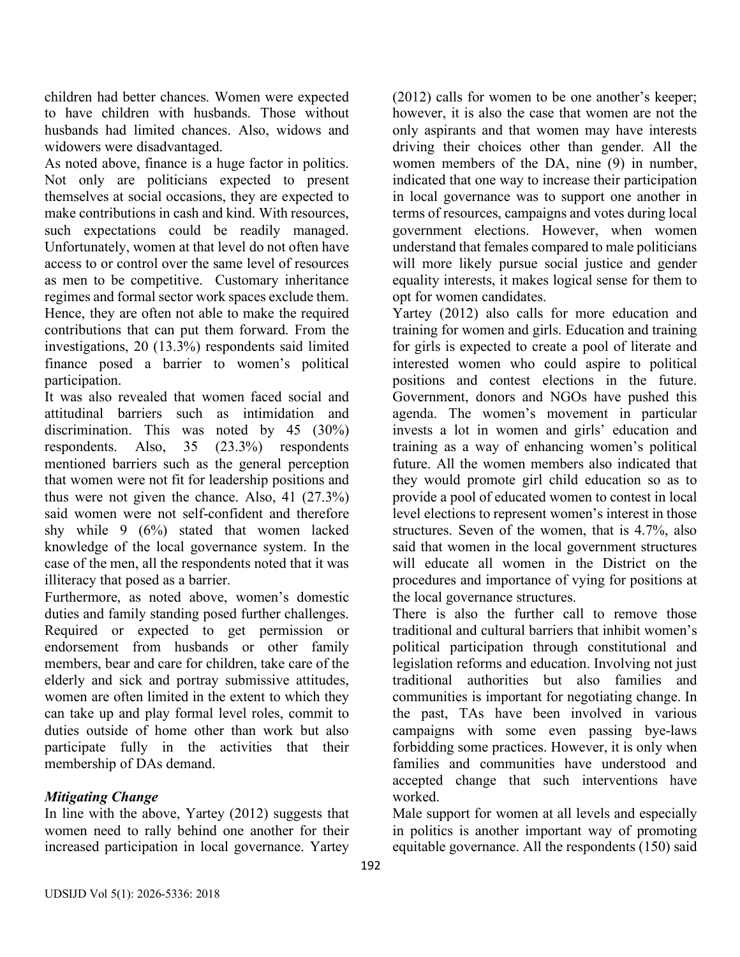children had better chances. Women were expected to have children with husbands. Those without husbands had limited chances. Also, widows and widowers were disadvantaged.

As noted above, finance is a huge factor in politics. Not only are politicians expected to present themselves at social occasions, they are expected to make contributions in cash and kind. With resources, such expectations could be readily managed. Unfortunately, women at that level do not often have access to or control over the same level of resources as men to be competitive. Customary inheritance regimes and formal sector work spaces exclude them. Hence, they are often not able to make the required contributions that can put them forward. From the investigations, 20 (13.3%) respondents said limited finance posed a barrier to women's political participation.

It was also revealed that women faced social and attitudinal barriers such as intimidation and discrimination. This was noted by 45 (30%) respondents. Also, 35 (23.3%) respondents mentioned barriers such as the general perception that women were not fit for leadership positions and thus were not given the chance. Also, 41 (27.3%) said women were not self-confident and therefore shy while 9 (6%) stated that women lacked knowledge of the local governance system. In the case of the men, all the respondents noted that it was illiteracy that posed as a barrier.

Furthermore, as noted above, women's domestic duties and family standing posed further challenges. Required or expected to get permission or endorsement from husbands or other family members, bear and care for children, take care of the elderly and sick and portray submissive attitudes, women are often limited in the extent to which they can take up and play formal level roles, commit to duties outside of home other than work but also participate fully in the activities that their membership of DAs demand.

## *Mitigating Change*

In line with the above, Yartey (2012) suggests that women need to rally behind one another for their increased participation in local governance. Yartey

(2012) calls for women to be one another's keeper; however, it is also the case that women are not the only aspirants and that women may have interests driving their choices other than gender. All the women members of the DA, nine (9) in number, indicated that one way to increase their participation in local governance was to support one another in terms of resources, campaigns and votes during local government elections. However, when women understand that females compared to male politicians will more likely pursue social justice and gender equality interests, it makes logical sense for them to opt for women candidates.

Yartey (2012) also calls for more education and training for women and girls. Education and training for girls is expected to create a pool of literate and interested women who could aspire to political positions and contest elections in the future. Government, donors and NGOs have pushed this agenda. The women's movement in particular invests a lot in women and girls' education and training as a way of enhancing women's political future. All the women members also indicated that they would promote girl child education so as to provide a pool of educated women to contest in local level elections to represent women's interest in those structures. Seven of the women, that is 4.7%, also said that women in the local government structures will educate all women in the District on the procedures and importance of vying for positions at the local governance structures.

There is also the further call to remove those traditional and cultural barriers that inhibit women's political participation through constitutional and legislation reforms and education. Involving not just traditional authorities but also families and communities is important for negotiating change. In the past, TAs have been involved in various campaigns with some even passing bye-laws forbidding some practices. However, it is only when families and communities have understood and accepted change that such interventions have worked.

Male support for women at all levels and especially in politics is another important way of promoting equitable governance. All the respondents (150) said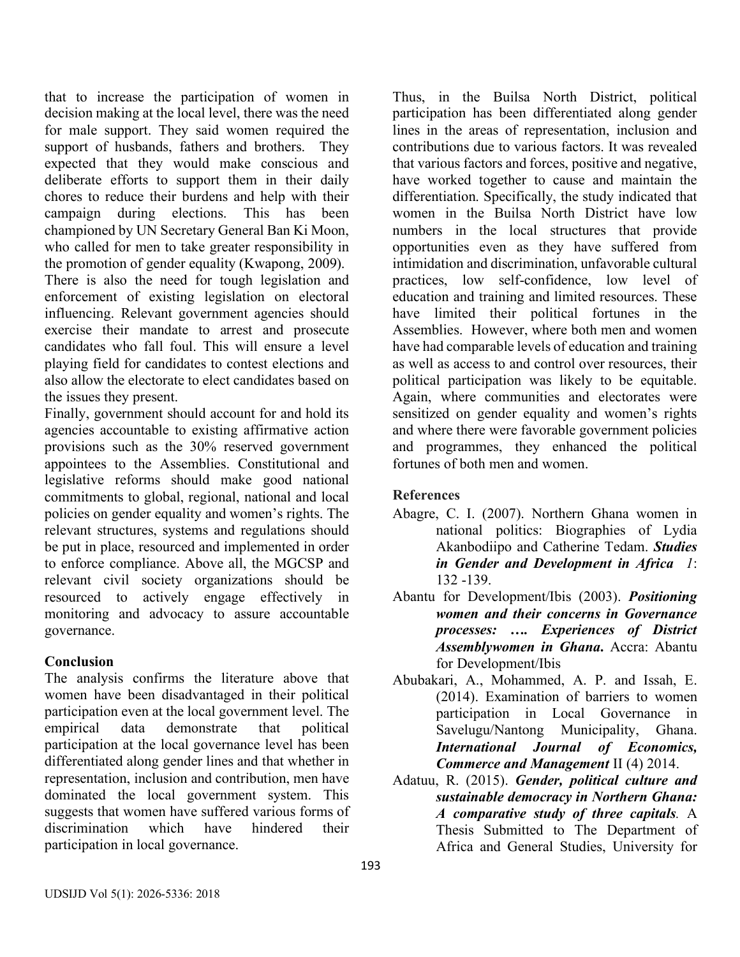that to increase the participation of women in decision making at the local level, there was the need for male support. They said women required the support of husbands, fathers and brothers. They expected that they would make conscious and deliberate efforts to support them in their daily chores to reduce their burdens and help with their campaign during elections. This has been championed by UN Secretary General Ban Ki Moon, who called for men to take greater responsibility in the promotion of gender equality (Kwapong, 2009).

There is also the need for tough legislation and enforcement of existing legislation on electoral influencing. Relevant government agencies should exercise their mandate to arrest and prosecute candidates who fall foul. This will ensure a level playing field for candidates to contest elections and also allow the electorate to elect candidates based on the issues they present.

Finally, government should account for and hold its agencies accountable to existing affirmative action provisions such as the 30% reserved government appointees to the Assemblies. Constitutional and legislative reforms should make good national commitments to global, regional, national and local policies on gender equality and women's rights. The relevant structures, systems and regulations should be put in place, resourced and implemented in order to enforce compliance. Above all, the MGCSP and relevant civil society organizations should be resourced to actively engage effectively in monitoring and advocacy to assure accountable governance.

## **Conclusion**

The analysis confirms the literature above that women have been disadvantaged in their political participation even at the local government level. The empirical data demonstrate that political participation at the local governance level has been differentiated along gender lines and that whether in representation, inclusion and contribution, men have dominated the local government system. This suggests that women have suffered various forms of discrimination which have hindered their participation in local governance.

Thus, in the Builsa North District, political participation has been differentiated along gender lines in the areas of representation, inclusion and contributions due to various factors. It was revealed that various factors and forces, positive and negative, have worked together to cause and maintain the differentiation. Specifically, the study indicated that women in the Builsa North District have low numbers in the local structures that provide opportunities even as they have suffered from intimidation and discrimination, unfavorable cultural practices, low self-confidence, low level of education and training and limited resources. These have limited their political fortunes in the Assemblies. However, where both men and women have had comparable levels of education and training as well as access to and control over resources, their political participation was likely to be equitable. Again, where communities and electorates were sensitized on gender equality and women's rights and where there were favorable government policies and programmes, they enhanced the political fortunes of both men and women.

# **References**

- Abagre, C. I. (2007). Northern Ghana women in national politics: Biographies of Lydia Akanbodiipo and Catherine Tedam. *Studies in Gender and Development in Africa 1*: 132 -139.
- Abantu for Development/Ibis (2003). *Positioning women and their concerns in Governance processes: …. Experiences of District Assemblywomen in Ghana***.** Accra: Abantu for Development/Ibis
- Abubakari, A., Mohammed, A. P. and Issah, E. (2014). Examination of barriers to women participation in Local Governance in Savelugu/Nantong Municipality, Ghana. *International Journal of Economics, Commerce and Management* II (4) 2014.
- Adatuu, R. (2015). *Gender, political culture and sustainable democracy in Northern Ghana: A comparative study of three capitals.* A Thesis Submitted to The Department of Africa and General Studies, University for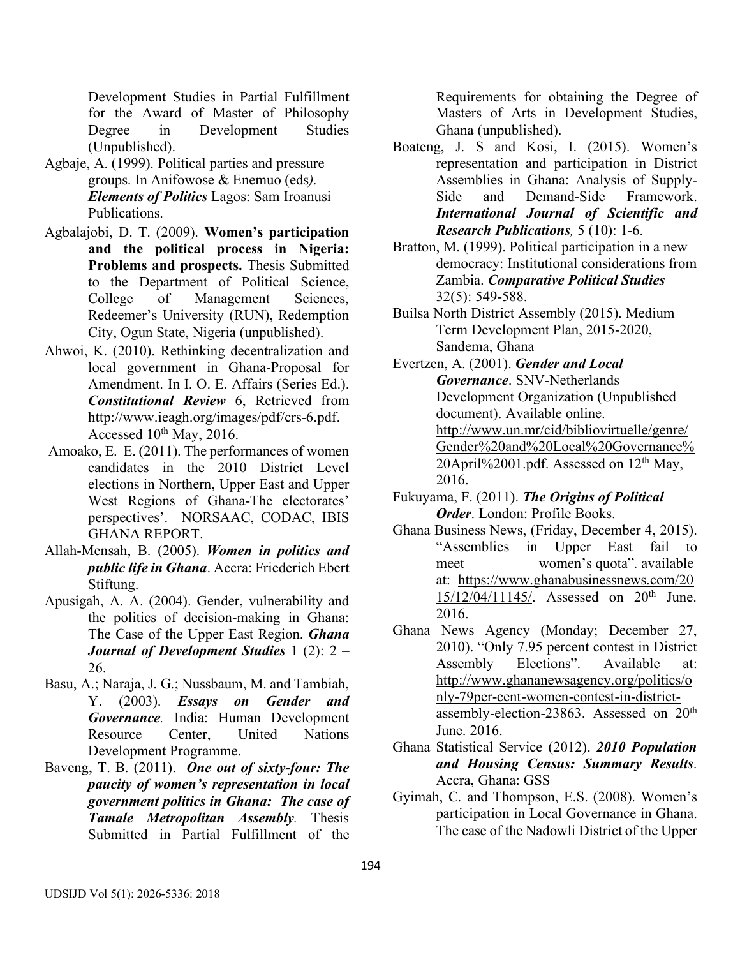Development Studies in Partial Fulfillment for the Award of Master of Philosophy Degree in Development Studies (Unpublished).

- Agbaje, A. (1999). Political parties and pressure groups. In Anifowose & Enemuo (eds*). Elements of Politics* Lagos: Sam Iroanusi Publications.
- Agbalajobi, D. T. (2009). **Women's participation and the political process in Nigeria: Problems and prospects.** Thesis Submitted to the Department of Political Science, College of Management Sciences, Redeemer's University (RUN), Redemption City, Ogun State, Nigeria (unpublished).
- Ahwoi, K. (2010). Rethinking decentralization and local government in Ghana-Proposal for Amendment. In I. O. E. Affairs (Series Ed.). *Constitutional Review* 6, Retrieved from http://www.ieagh.org/images/pdf/crs-6.pdf. Accessed 10<sup>th</sup> May, 2016.
- Amoako, E. E. (2011). The performances of women candidates in the 2010 District Level elections in Northern, Upper East and Upper West Regions of Ghana-The electorates' perspectives'. NORSAAC, CODAC, IBIS GHANA REPORT.
- Allah-Mensah, B. (2005). *Women in politics and public life in Ghana*. Accra: Friederich Ebert Stiftung.
- Apusigah, A. A. (2004). Gender, vulnerability and the politics of decision-making in Ghana: The Case of the Upper East Region. *Ghana Journal of Development Studies* 1 (2): 2 – 26.
- Basu, A.; Naraja, J. G.; Nussbaum, M. and Tambiah, Y. (2003). *Essays on Gender and Governance.* India: Human Development Resource Center, United Nations Development Programme.
- Baveng, T. B. (2011). *One out of sixty-four: The paucity of women's representation in local government politics in Ghana: The case of Tamale Metropolitan Assembly.* Thesis Submitted in Partial Fulfillment of the

Requirements for obtaining the Degree of Masters of Arts in Development Studies, Ghana (unpublished).

- Boateng, J. S and Kosi, I. (2015). Women's representation and participation in District Assemblies in Ghana: Analysis of Supply-Side and Demand-Side Framework. *International Journal of Scientific and Research Publications,* 5 (10): 1-6.
- Bratton, M. (1999). Political participation in a new democracy: Institutional considerations from Zambia. *Comparative Political Studies* 32(5): 549-588.
- Builsa North District Assembly (2015). Medium Term Development Plan, 2015-2020, Sandema, Ghana
- Evertzen, A. (2001). *Gender and Local Governance*. SNV-Netherlands Development Organization (Unpublished document). Available online. http://www.un.mr/cid/bibliovirtuelle/genre/ Gender%20and%20Local%20Governance% 20April%2001.pdf. Assessed on  $12<sup>th</sup>$  May, 2016.
- Fukuyama, F. (2011). *The Origins of Political Order*. London: Profile Books.
- Ghana Business News, (Friday, December 4, 2015). "Assemblies in Upper East fail to meet women's quota". available at: https://www.ghanabusinessnews.com/20 15/12/04/11145/. Assessed on 20th June. 2016.
- Ghana News Agency (Monday; December 27, 2010). "Only 7.95 percent contest in District Assembly Elections". Available at: http://www.ghananewsagency.org/politics/o nly-79per-cent-women-contest-in-districtassembly-election-23863. Assessed on 20th June. 2016.
- Ghana Statistical Service (2012). *2010 Population and Housing Census: Summary Results*. Accra, Ghana: GSS
- Gyimah, C. and Thompson, E.S. (2008). Women's participation in Local Governance in Ghana. The case of the Nadowli District of the Upper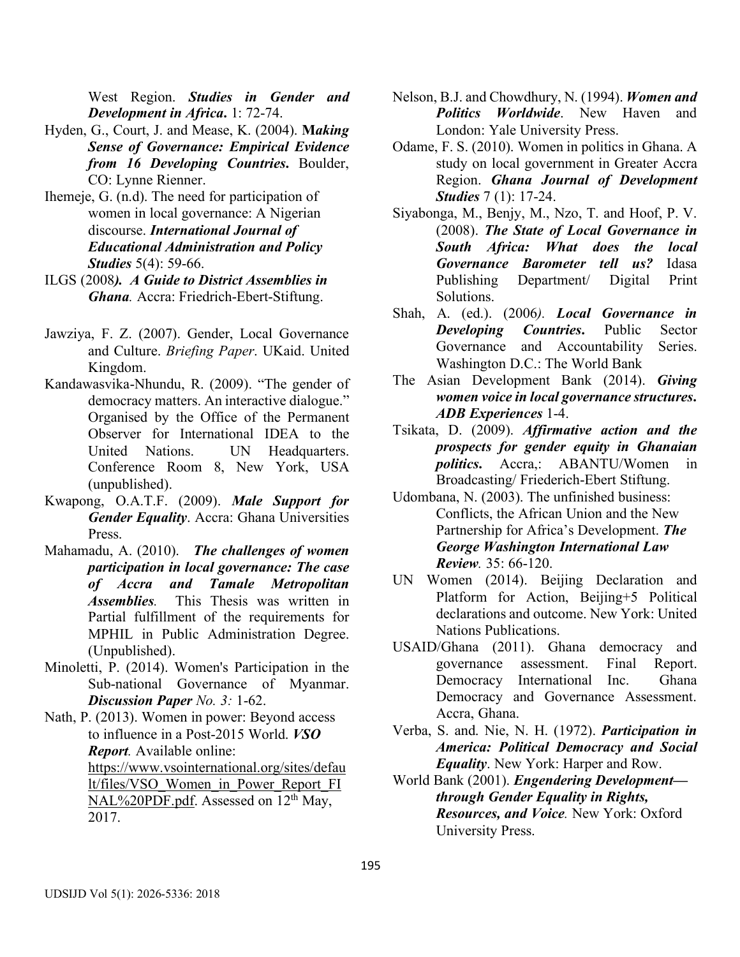West Region. *Studies in Gender and Development in Africa***.** 1: 72-74.

- Hyden, G., Court, J. and Mease, K. (2004). **M***aking Sense of Governance: Empirical Evidence from 16 Developing Countries***.** Boulder, CO: Lynne Rienner.
- Ihemeje, G. (n.d). The need for participation of women in local governance: A Nigerian discourse. *International Journal of Educational Administration and Policy Studies* 5(4): 59-66.
- ILGS (2008*). A Guide to District Assemblies in Ghana.* Accra: Friedrich-Ebert-Stiftung.
- Jawziya, F. Z. (2007). Gender, Local Governance and Culture. *Briefing Paper*. UKaid. United Kingdom.
- Kandawasvika-Nhundu, R. (2009). "The gender of democracy matters. An interactive dialogue." Organised by the Office of the Permanent Observer for International IDEA to the United Nations. UN Headquarters. Conference Room 8, New York, USA (unpublished).
- Kwapong, O.A.T.F. (2009). *Male Support for Gender Equality*. Accra: Ghana Universities Press.
- Mahamadu, A. (2010). *The challenges of women participation in local governance: The case of Accra and Tamale Metropolitan Assemblies.* This Thesis was written in Partial fulfillment of the requirements for MPHIL in Public Administration Degree. (Unpublished).
- Minoletti, P. (2014). Women's Participation in the Sub-national Governance of Myanmar. *Discussion Paper No. 3:* 1-62.

Nath, P. (2013). Women in power: Beyond access to influence in a Post-2015 World. *VSO Report.* Available online: https://www.vsointernational.org/sites/defau lt/files/VSO\_Women\_in\_Power\_Report\_FI NAL%20PDF.pdf. Assessed on  $12<sup>th</sup>$  May, 2017.

- Nelson, B.J. and Chowdhury, N. (1994). *Women and Politics Worldwide*. New Haven and London: Yale University Press.
- Odame, F. S. (2010). Women in politics in Ghana. A study on local government in Greater Accra Region. *Ghana Journal of Development Studies* 7 (1): 17-24.
- Siyabonga, M., Benjy, M., Nzo, T. and Hoof, P. V. (2008). *The State of Local Governance in South Africa: What does the local Governance Barometer tell us?* Idasa Publishing Department/ Digital Print Solutions.
- Shah, A. (ed.). (2006*). Local Governance in Developing Countries***.** Public Sector Governance and Accountability Series. Washington D.C.: The World Bank
- The Asian Development Bank (2014). *Giving women voice in local governance structures***.**  *ADB Experiences* 1-4.
- Tsikata, D. (2009). *Affirmative action and the prospects for gender equity in Ghanaian politics***.** Accra,: ABANTU/Women in Broadcasting/ Friederich-Ebert Stiftung.
- Udombana, N. (2003). The unfinished business: Conflicts, the African Union and the New Partnership for Africa's Development. *The George Washington International Law Review.* 35: 66-120.
- UN Women (2014). Beijing Declaration and Platform for Action, Beijing+5 Political declarations and outcome. New York: United Nations Publications.
- USAID/Ghana (2011). Ghana democracy and governance assessment. Final Report. Democracy International Inc. Ghana Democracy and Governance Assessment. Accra, Ghana.
- Verba, S. and. Nie, N. H. (1972). *Participation in America: Political Democracy and Social Equality*. New York: Harper and Row.
- World Bank (2001). *Engendering Development through Gender Equality in Rights, Resources, and Voice.* New York: Oxford University Press.